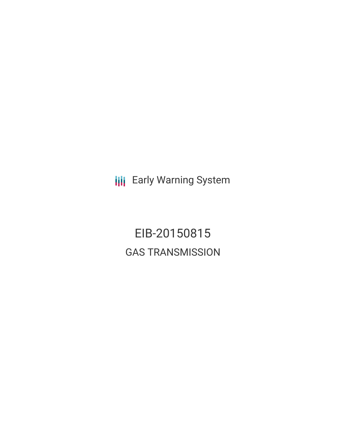**III** Early Warning System

EIB-20150815 GAS TRANSMISSION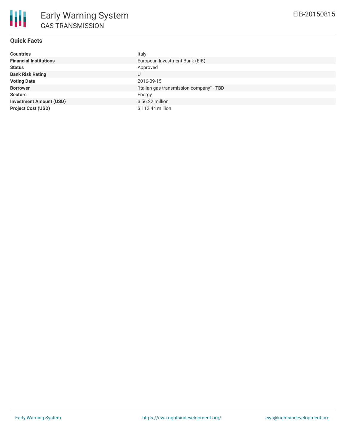## **Quick Facts**

| <b>Countries</b>               | Italy                                    |
|--------------------------------|------------------------------------------|
| <b>Financial Institutions</b>  | European Investment Bank (EIB)           |
| <b>Status</b>                  | Approved                                 |
| <b>Bank Risk Rating</b>        | U                                        |
| <b>Voting Date</b>             | 2016-09-15                               |
| <b>Borrower</b>                | "Italian gas transmission company" - TBD |
| <b>Sectors</b>                 | Energy                                   |
| <b>Investment Amount (USD)</b> | $$56.22$ million                         |
| <b>Project Cost (USD)</b>      | \$112.44 million                         |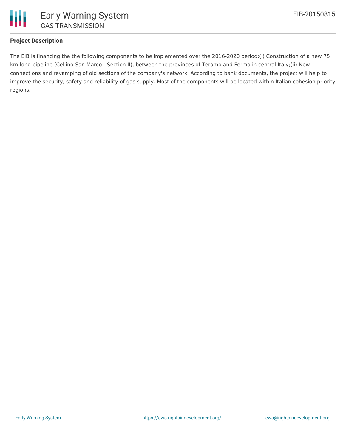

# **Project Description**

The EIB is financing the the following components to be implemented over the 2016-2020 period:(i) Construction of a new 75 km-long pipeline (Cellino-San Marco - Section II), between the provinces of Teramo and Fermo in central Italy;(ii) New connections and revamping of old sections of the company's network. According to bank documents, the project will help to improve the security, safety and reliability of gas supply. Most of the components will be located within Italian cohesion priority regions.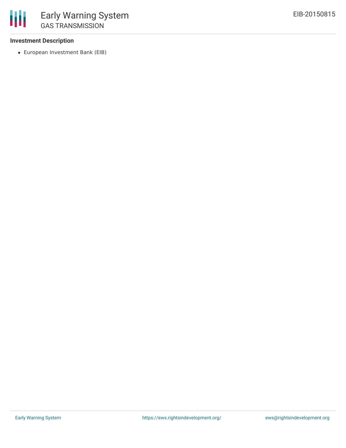## **Investment Description**

European Investment Bank (EIB)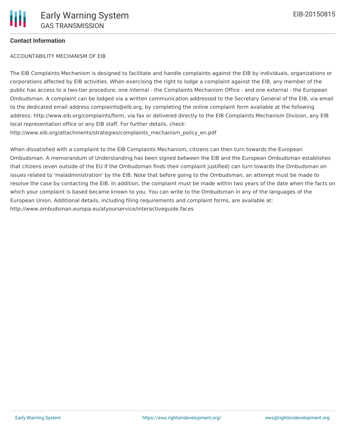### **Contact Information**

#### ACCOUNTABILITY MECHANISM OF EIB

The EIB Complaints Mechanism is designed to facilitate and handle complaints against the EIB by individuals, organizations or corporations affected by EIB activities. When exercising the right to lodge a complaint against the EIB, any member of the public has access to a two-tier procedure, one internal - the Complaints Mechanism Office - and one external - the European Ombudsman. A complaint can be lodged via a written communication addressed to the Secretary General of the EIB, via email to the dedicated email address complaints@eib.org, by completing the online complaint form available at the following address: http://www.eib.org/complaints/form, via fax or delivered directly to the EIB Complaints Mechanism Division, any EIB local representation office or any EIB staff. For further details, check: http://www.eib.org/attachments/strategies/complaints\_mechanism\_policy\_en.pdf

When dissatisfied with a complaint to the EIB Complaints Mechanism, citizens can then turn towards the European Ombudsman. A memorandum of Understanding has been signed between the EIB and the European Ombudsman establishes that citizens (even outside of the EU if the Ombudsman finds their complaint justified) can turn towards the Ombudsman on issues related to 'maladministration' by the EIB. Note that before going to the Ombudsman, an attempt must be made to resolve the case by contacting the EIB. In addition, the complaint must be made within two years of the date when the facts on which your complaint is based became known to you. You can write to the Ombudsman in any of the languages of the European Union. Additional details, including filing requirements and complaint forms, are available at: http://www.ombudsman.europa.eu/atyourservice/interactiveguide.faces